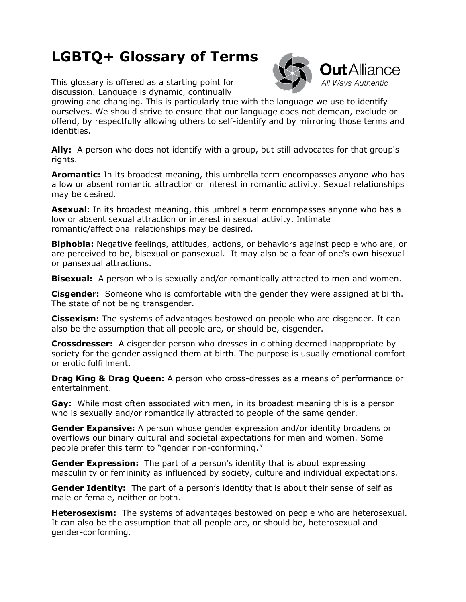## **LGBTQ+ Glossary of Terms**

This glossary is offered as a starting point for discussion. Language is dynamic, continually



growing and changing. This is particularly true with the language we use to identify ourselves. We should strive to ensure that our language does not demean, exclude or offend, by respectfully allowing others to self-identify and by mirroring those terms and identities.

**Ally:** A person who does not identify with a group, but still advocates for that group's rights.

**Aromantic:** In its broadest meaning, this umbrella term encompasses anyone who has a low or absent romantic attraction or interest in romantic activity. Sexual relationships may be desired.

**Asexual:** In its broadest meaning, this umbrella term encompasses anyone who has a low or absent sexual attraction or interest in sexual activity. Intimate romantic/affectional relationships may be desired.

**Biphobia:** Negative feelings, attitudes, actions, or behaviors against people who are, or are perceived to be, bisexual or pansexual. It may also be a fear of one's own bisexual or pansexual attractions.

**Bisexual:** A person who is sexually and/or romantically attracted to men and women.

**Cisgender:** Someone who is comfortable with the gender they were assigned at birth. The state of not being transgender.

**Cissexism:** The systems of advantages bestowed on people who are cisgender. It can also be the assumption that all people are, or should be, cisgender.

**Crossdresser:** A cisgender person who dresses in clothing deemed inappropriate by society for the gender assigned them at birth. The purpose is usually emotional comfort or erotic fulfillment.

**Drag King & Drag Queen:** A person who cross-dresses as a means of performance or entertainment.

**Gay:** While most often associated with men, in its broadest meaning this is a person who is sexually and/or romantically attracted to people of the same gender.

**Gender Expansive:** A person whose gender expression and/or identity broadens or overflows our binary cultural and societal expectations for men and women. Some people prefer this term to "gender non-conforming."

**Gender Expression:** The part of a person's identity that is about expressing masculinity or femininity as influenced by society, culture and individual expectations.

**Gender Identity:** The part of a person's identity that is about their sense of self as male or female, neither or both.

**Heterosexism:** The systems of advantages bestowed on people who are heterosexual. It can also be the assumption that all people are, or should be, heterosexual and gender-conforming.